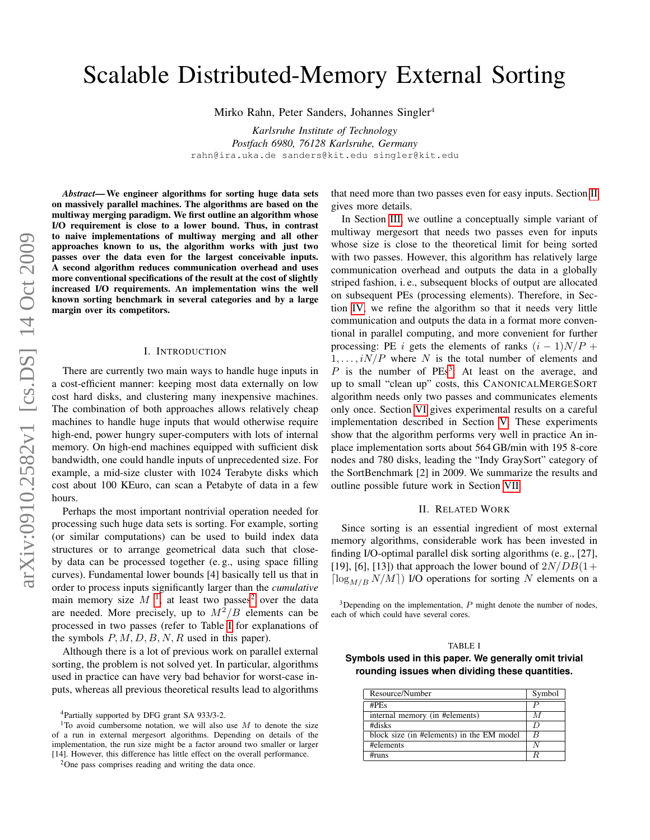# Scalable Distributed-Memory External Sorting

Mirko Rahn, Peter Sanders, Johannes Singler<sup>4</sup>

*Karlsruhe Institute of Technology Postfach 6980, 76128 Karlsruhe, Germany* rahn@ira.uka.de sanders@kit.edu singler@kit.edu

*Abstract*— We engineer algorithms for sorting huge data sets on massively parallel machines. The algorithms are based on the multiway merging paradigm. We first outline an algorithm whose I/O requirement is close to a lower bound. Thus, in contrast to naive implementations of multiway merging and all other approaches known to us, the algorithm works with just two passes over the data even for the largest conceivable inputs. A second algorithm reduces communication overhead and uses more conventional specifications of the result at the cost of slightly increased I/O requirements. An implementation wins the well known sorting benchmark in several categories and by a large margin over its competitors.

## I. INTRODUCTION

There are currently two main ways to handle huge inputs in a cost-efficient manner: keeping most data externally on low cost hard disks, and clustering many inexpensive machines. The combination of both approaches allows relatively cheap machines to handle huge inputs that would otherwise require high-end, power hungry super-computers with lots of internal memory. On high-end machines equipped with sufficient disk bandwidth, one could handle inputs of unprecedented size. For example, a mid-size cluster with 1024 Terabyte disks which cost about 100 KEuro, can scan a Petabyte of data in a few hours.

Perhaps the most important nontrivial operation needed for processing such huge data sets is sorting. For example, sorting (or similar computations) can be used to build index data structures or to arrange geometrical data such that closeby data can be processed together (e. g., using space filling curves). Fundamental lower bounds [4] basically tell us that in order to process inputs significantly larger than the *cumulative* main memory size  $M^{-1}$  $M^{-1}$  $M^{-1}$ , at least two passes<sup>[2](#page-0-1)</sup> over the data are needed. More precisely, up to  $M^2/B$  elements can be processed in two passes (refer to Table [I](#page-0-2) for explanations of the symbols  $P, M, D, B, N, R$  used in this paper).

Although there is a lot of previous work on parallel external sorting, the problem is not solved yet. In particular, algorithms used in practice can have very bad behavior for worst-case inputs, whereas all previous theoretical results lead to algorithms that need more than two passes even for easy inputs. Section [II](#page-0-3) gives more details.

In Section [III,](#page-1-0) we outline a conceptually simple variant of multiway mergesort that needs two passes even for inputs whose size is close to the theoretical limit for being sorted with two passes. However, this algorithm has relatively large communication overhead and outputs the data in a globally striped fashion, i. e., subsequent blocks of output are allocated on subsequent PEs (processing elements). Therefore, in Section [IV,](#page-1-1) we refine the algorithm so that it needs very little communication and outputs the data in a format more conventional in parallel computing, and more convenient for further processing: PE i gets the elements of ranks  $(i - 1)N/P +$  $1, \ldots, iN/P$  where N is the total number of elements and  $P$  is the number of PEs<sup>[3](#page-0-4)</sup>. At least on the average, and up to small "clean up" costs, this CANONICALMERGESORT algorithm needs only two passes and communicates elements only once. Section [VI](#page-4-0) gives experimental results on a careful implementation described in Section [V.](#page-4-1) These experiments show that the algorithm performs very well in practice An inplace implementation sorts about 564 GB/min with 195 8-core nodes and 780 disks, leading the "Indy GraySort" category of the SortBenchmark [2] in 2009. We summarize the results and outline possible future work in Section [VII.](#page-4-2)

## II. RELATED WORK

<span id="page-0-3"></span>Since sorting is an essential ingredient of most external memory algorithms, considerable work has been invested in finding I/O-optimal parallel disk sorting algorithms (e. g., [27], [19], [6], [13]) that approach the lower bound of  $2N/DB(1+$  $\lceil \log_{M/B} N/M \rceil$  I/O operations for sorting N elements on a

<span id="page-0-4"></span> $3$ Depending on the implementation,  $P$  might denote the number of nodes, each of which could have several cores.

## TABLE I

<span id="page-0-2"></span>**Symbols used in this paper. We generally omit trivial rounding issues when dividing these quantities.**

| Resource/Number                           | Symbol           |
|-------------------------------------------|------------------|
| $#PF_S$                                   | $\boldsymbol{P}$ |
| internal memory (in #elements)            | M                |
| #disks                                    | D                |
| block size (in #elements) in the EM model | B                |
| #elements                                 | N                |
| #runs                                     | R                |

<span id="page-0-0"></span><sup>4</sup>Partially supported by DFG grant SA 933/3-2.

<sup>&</sup>lt;sup>1</sup>To avoid cumbersome notation, we will also use M to denote the size of a run in external mergesort algorithms. Depending on details of the implementation, the run size might be a factor around two smaller or larger [14]. However, this difference has little effect on the overall performance.

<span id="page-0-1"></span><sup>2</sup>One pass comprises reading and writing the data once.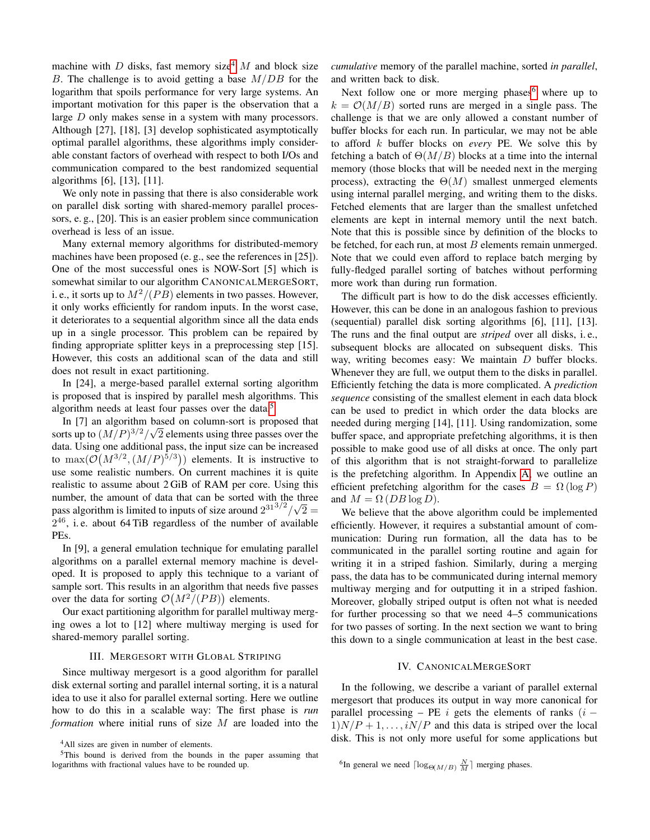machine with D disks, fast memory size<sup>[4](#page-1-2)</sup> M and block size B. The challenge is to avoid getting a base  $M/DB$  for the logarithm that spoils performance for very large systems. An important motivation for this paper is the observation that a large D only makes sense in a system with many processors. Although [27], [18], [3] develop sophisticated asymptotically optimal parallel algorithms, these algorithms imply considerable constant factors of overhead with respect to both I/Os and communication compared to the best randomized sequential algorithms [6], [13], [11].

We only note in passing that there is also considerable work on parallel disk sorting with shared-memory parallel processors, e. g., [20]. This is an easier problem since communication overhead is less of an issue.

Many external memory algorithms for distributed-memory machines have been proposed (e. g., see the references in [25]). One of the most successful ones is NOW-Sort [5] which is somewhat similar to our algorithm CANONICALMERGESORT, i. e., it sorts up to  $M^2/(PB)$  elements in two passes. However, it only works efficiently for random inputs. In the worst case, it deteriorates to a sequential algorithm since all the data ends up in a single processor. This problem can be repaired by finding appropriate splitter keys in a preprocessing step [15]. However, this costs an additional scan of the data and still does not result in exact partitioning.

In [24], a merge-based parallel external sorting algorithm is proposed that is inspired by parallel mesh algorithms. This algorithm needs at least four passes over the data.[5](#page-1-3)

In [7] an algorithm based on column-sort is proposed that sorts up to  $(M/P)^{3/2}/\sqrt{2}$  elements using three passes over the data. Using one additional pass, the input size can be increased to  $\max(\mathcal{O}(M^{3/2}, (M/P)^{5/3}))$  elements. It is instructive to use some realistic numbers. On current machines it is quite realistic to assume about 2 GiB of RAM per core. Using this number, the amount of data that can be sorted with the three pass algorithm is limited to inputs of size around  $2^{31^{3/2}}/$ √  $2 =$  $2^{46}$ , i.e. about 64 TiB regardless of the number of available PEs.

In [9], a general emulation technique for emulating parallel algorithms on a parallel external memory machine is developed. It is proposed to apply this technique to a variant of sample sort. This results in an algorithm that needs five passes over the data for sorting  $\mathcal{O}(M^2/(PB))$  elements.

Our exact partitioning algorithm for parallel multiway merging owes a lot to [12] where multiway merging is used for shared-memory parallel sorting.

## III. MERGESORT WITH GLOBAL STRIPING

<span id="page-1-0"></span>Since multiway mergesort is a good algorithm for parallel disk external sorting and parallel internal sorting, it is a natural idea to use it also for parallel external sorting. Here we outline how to do this in a scalable way: The first phase is *run formation* where initial runs of size M are loaded into the *cumulative* memory of the parallel machine, sorted *in parallel*, and written back to disk.

Next follow one or more merging phases<sup>[6](#page-1-4)</sup> where up to  $k = \mathcal{O}(M/B)$  sorted runs are merged in a single pass. The challenge is that we are only allowed a constant number of buffer blocks for each run. In particular, we may not be able to afford k buffer blocks on *every* PE. We solve this by fetching a batch of  $\Theta(M/B)$  blocks at a time into the internal memory (those blocks that will be needed next in the merging process), extracting the  $\Theta(M)$  smallest unmerged elements using internal parallel merging, and writing them to the disks. Fetched elements that are larger than the smallest unfetched elements are kept in internal memory until the next batch. Note that this is possible since by definition of the blocks to be fetched, for each run, at most  $B$  elements remain unmerged. Note that we could even afford to replace batch merging by fully-fledged parallel sorting of batches without performing more work than during run formation.

The difficult part is how to do the disk accesses efficiently. However, this can be done in an analogous fashion to previous (sequential) parallel disk sorting algorithms [6], [11], [13]. The runs and the final output are *striped* over all disks, i. e., subsequent blocks are allocated on subsequent disks. This way, writing becomes easy: We maintain  $D$  buffer blocks. Whenever they are full, we output them to the disks in parallel. Efficiently fetching the data is more complicated. A *prediction sequence* consisting of the smallest element in each data block can be used to predict in which order the data blocks are needed during merging [14], [11]. Using randomization, some buffer space, and appropriate prefetching algorithms, it is then possible to make good use of all disks at once. The only part of this algorithm that is not straight-forward to parallelize is the prefetching algorithm. In Appendix [A,](#page-7-0) we outline an efficient prefetching algorithm for the cases  $B = \Omega(\log P)$ and  $M = \Omega$  (*DB* log *D*).

We believe that the above algorithm could be implemented efficiently. However, it requires a substantial amount of communication: During run formation, all the data has to be communicated in the parallel sorting routine and again for writing it in a striped fashion. Similarly, during a merging pass, the data has to be communicated during internal memory multiway merging and for outputting it in a striped fashion. Moreover, globally striped output is often not what is needed for further processing so that we need 4–5 communications for two passes of sorting. In the next section we want to bring this down to a single communication at least in the best case.

## IV. CANONICALMERGESORT

<span id="page-1-1"></span>In the following, we describe a variant of parallel external mergesort that produces its output in way more canonical for parallel processing – PE i gets the elements of ranks  $(i 1$ ) $N/P + 1, \ldots, iN/P$  and this data is striped over the local disk. This is not only more useful for some applications but

<span id="page-1-3"></span><span id="page-1-2"></span><sup>&</sup>lt;sup>4</sup>All sizes are given in number of elements.

<sup>5</sup>This bound is derived from the bounds in the paper assuming that logarithms with fractional values have to be rounded up.

<span id="page-1-4"></span><sup>&</sup>lt;sup>6</sup>In general we need  $\lceil \log_{\Theta(M/B)} \frac{N}{M} \rceil$  merging phases.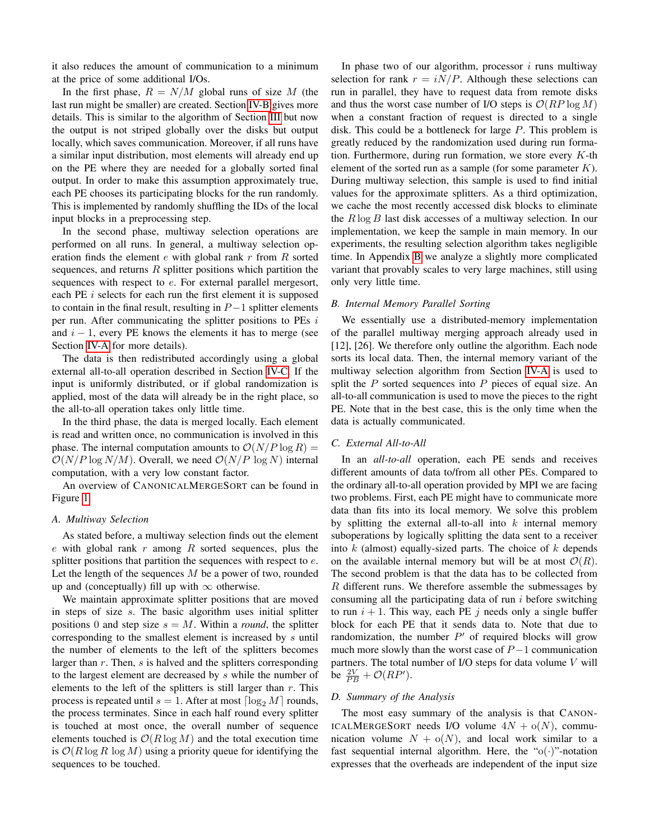it also reduces the amount of communication to a minimum at the price of some additional I/Os.

In the first phase,  $R = N/M$  global runs of size M (the last run might be smaller) are created. Section [IV-B](#page-2-0) gives more details. This is similar to the algorithm of Section [III](#page-1-0) but now the output is not striped globally over the disks but output locally, which saves communication. Moreover, if all runs have a similar input distribution, most elements will already end up on the PE where they are needed for a globally sorted final output. In order to make this assumption approximately true, each PE chooses its participating blocks for the run randomly. This is implemented by randomly shuffling the IDs of the local input blocks in a preprocessing step.

In the second phase, multiway selection operations are performed on all runs. In general, a multiway selection operation finds the element  $e$  with global rank  $r$  from  $R$  sorted sequences, and returns  $R$  splitter positions which partition the sequences with respect to e. For external parallel mergesort, each PE  $i$  selects for each run the first element it is supposed to contain in the final result, resulting in  $P-1$  splitter elements per run. After communicating the splitter positions to PEs  $i$ and  $i - 1$ , every PE knows the elements it has to merge (see Section [IV-A](#page-2-1) for more details).

The data is then redistributed accordingly using a global external all-to-all operation described in Section [IV-C.](#page-2-2) If the input is uniformly distributed, or if global randomization is applied, most of the data will already be in the right place, so the all-to-all operation takes only little time.

In the third phase, the data is merged locally. Each element is read and written once, no communication is involved in this phase. The internal computation amounts to  $\mathcal{O}(N/P \log R)$  =  $O(N/P \log N/M)$ . Overall, we need  $O(N/P \log N)$  internal computation, with a very low constant factor.

An overview of CANONICALMERGESORT can be found in Figure [1.](#page-3-0)

# <span id="page-2-1"></span>*A. Multiway Selection*

As stated before, a multiway selection finds out the element e with global rank  $r$  among  $R$  sorted sequences, plus the splitter positions that partition the sequences with respect to  $e$ . Let the length of the sequences  $M$  be a power of two, rounded up and (conceptually) fill up with  $\infty$  otherwise.

We maintain approximate splitter positions that are moved in steps of size s. The basic algorithm uses initial splitter positions 0 and step size  $s = M$ . Within a *round*, the splitter corresponding to the smallest element is increased by s until the number of elements to the left of the splitters becomes larger than  $r$ . Then,  $s$  is halved and the splitters corresponding to the largest element are decreased by s while the number of elements to the left of the splitters is still larger than  $r$ . This process is repeated until  $s = 1$ . After at most  $\lceil \log_2 M \rceil$  rounds, the process terminates. Since in each half round every splitter is touched at most once, the overall number of sequence elements touched is  $\mathcal{O}(R \log M)$  and the total execution time is  $O(R \log R \log M)$  using a priority queue for identifying the sequences to be touched.

In phase two of our algorithm, processor  $i$  runs multiway selection for rank  $r = iN/P$ . Although these selections can run in parallel, they have to request data from remote disks and thus the worst case number of I/O steps is  $\mathcal{O}(RP \log M)$ when a constant fraction of request is directed to a single disk. This could be a bottleneck for large P. This problem is greatly reduced by the randomization used during run formation. Furthermore, during run formation, we store every  $K$ -th element of the sorted run as a sample (for some parameter  $K$ ). During multiway selection, this sample is used to find initial values for the approximate splitters. As a third optimization, we cache the most recently accessed disk blocks to eliminate the  $R \log B$  last disk accesses of a multiway selection. In our implementation, we keep the sample in main memory. In our experiments, the resulting selection algorithm takes negligible time. In Appendix [B](#page-7-1) we analyze a slightly more complicated variant that provably scales to very large machines, still using only very little time.

# <span id="page-2-0"></span>*B. Internal Memory Parallel Sorting*

We essentially use a distributed-memory implementation of the parallel multiway merging approach already used in [12], [26]. We therefore only outline the algorithm. Each node sorts its local data. Then, the internal memory variant of the multiway selection algorithm from Section [IV-A](#page-2-1) is used to split the  $P$  sorted sequences into  $P$  pieces of equal size. An all-to-all communication is used to move the pieces to the right PE. Note that in the best case, this is the only time when the data is actually communicated.

# <span id="page-2-2"></span>*C. External All-to-All*

In an *all-to-all* operation, each PE sends and receives different amounts of data to/from all other PEs. Compared to the ordinary all-to-all operation provided by MPI we are facing two problems. First, each PE might have to communicate more data than fits into its local memory. We solve this problem by splitting the external all-to-all into  $k$  internal memory suboperations by logically splitting the data sent to a receiver into  $k$  (almost) equally-sized parts. The choice of  $k$  depends on the available internal memory but will be at most  $\mathcal{O}(R)$ . The second problem is that the data has to be collected from R different runs. We therefore assemble the submessages by consuming all the participating data of run  $i$  before switching to run  $i + 1$ . This way, each PE j needs only a single buffer block for each PE that it sends data to. Note that due to randomization, the number  $P'$  of required blocks will grow much more slowly than the worst case of  $P-1$  communication partners. The total number of I/O steps for data volume  $V$  will be  $\frac{2V}{PB} + \mathcal{O}(RP')$ .

## *D. Summary of the Analysis*

The most easy summary of the analysis is that CANON-ICALMERGESORT needs I/O volume  $4N + o(N)$ , communication volume  $N + o(N)$ , and local work similar to a fast sequential internal algorithm. Here, the " $o(\cdot)$ "-notation expresses that the overheads are independent of the input size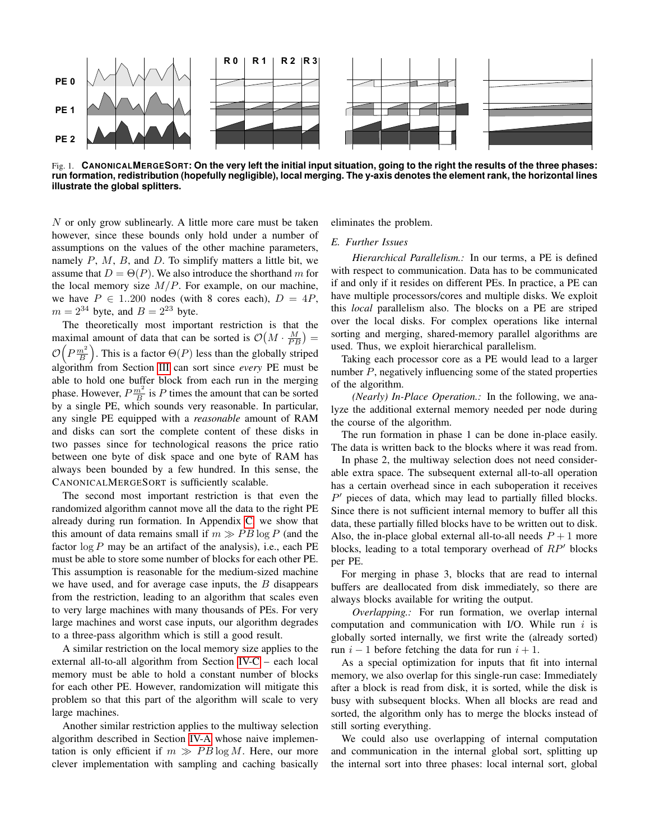

<span id="page-3-0"></span>Fig. 1. **CANONICALMERGESORT: On the very left the initial input situation, going to the right the results of the three phases: run formation, redistribution (hopefully negligible), local merging. The y-axis denotes the element rank, the horizontal lines illustrate the global splitters.**

N or only grow sublinearly. A little more care must be taken however, since these bounds only hold under a number of assumptions on the values of the other machine parameters, namely  $P$ ,  $M$ ,  $B$ , and  $D$ . To simplify matters a little bit, we assume that  $D = \Theta(P)$ . We also introduce the shorthand m for the local memory size  $M/P$ . For example, on our machine, we have  $P \in 1.200$  nodes (with 8 cores each),  $D = 4P$ ,  $m = 2^{34}$  byte, and  $B = 2^{23}$  byte.

The theoretically most important restriction is that the maximal amount of data that can be sorted is  $\mathcal{O}\left(M \cdot \frac{M}{PB}\right)$  =  $\mathcal{O}\left(P\frac{m^2}{B}\right)$ . This is a factor  $\Theta(P)$  less than the globally striped algorithm from Section [III](#page-1-0) can sort since *every* PE must be able to hold one buffer block from each run in the merging phase. However,  $P \frac{m^2}{B}$  is P times the amount that can be sorted by a single PE, which sounds very reasonable. In particular, any single PE equipped with a *reasonable* amount of RAM and disks can sort the complete content of these disks in two passes since for technological reasons the price ratio between one byte of disk space and one byte of RAM has always been bounded by a few hundred. In this sense, the CANONICALMERGESORT is sufficiently scalable.

The second most important restriction is that even the randomized algorithm cannot move all the data to the right PE already during run formation. In Appendix [C,](#page-7-2) we show that this amount of data remains small if  $m \gg PB \log P$  (and the factor  $\log P$  may be an artifact of the analysis), i.e., each PE must be able to store some number of blocks for each other PE. This assumption is reasonable for the medium-sized machine we have used, and for average case inputs, the B disappears from the restriction, leading to an algorithm that scales even to very large machines with many thousands of PEs. For very large machines and worst case inputs, our algorithm degrades to a three-pass algorithm which is still a good result.

A similar restriction on the local memory size applies to the external all-to-all algorithm from Section [IV-C](#page-2-2) – each local memory must be able to hold a constant number of blocks for each other PE. However, randomization will mitigate this problem so that this part of the algorithm will scale to very large machines.

Another similar restriction applies to the multiway selection algorithm described in Section [IV-A](#page-2-1) whose naive implementation is only efficient if  $m \gg PB \log M$ . Here, our more clever implementation with sampling and caching basically eliminates the problem.

# *E. Further Issues*

*Hierarchical Parallelism.:* In our terms, a PE is defined with respect to communication. Data has to be communicated if and only if it resides on different PEs. In practice, a PE can have multiple processors/cores and multiple disks. We exploit this *local* parallelism also. The blocks on a PE are striped over the local disks. For complex operations like internal sorting and merging, shared-memory parallel algorithms are used. Thus, we exploit hierarchical parallelism.

Taking each processor core as a PE would lead to a larger number P, negatively influencing some of the stated properties of the algorithm.

*(Nearly) In-Place Operation.:* In the following, we analyze the additional external memory needed per node during the course of the algorithm.

The run formation in phase 1 can be done in-place easily. The data is written back to the blocks where it was read from.

In phase 2, the multiway selection does not need considerable extra space. The subsequent external all-to-all operation has a certain overhead since in each suboperation it receives  $P'$  pieces of data, which may lead to partially filled blocks. Since there is not sufficient internal memory to buffer all this data, these partially filled blocks have to be written out to disk. Also, the in-place global external all-to-all needs  $P + 1$  more blocks, leading to a total temporary overhead of  $RP'$  blocks per PE.

For merging in phase 3, blocks that are read to internal buffers are deallocated from disk immediately, so there are always blocks available for writing the output.

*Overlapping.:* For run formation, we overlap internal computation and communication with I/O. While run  $i$  is globally sorted internally, we first write the (already sorted) run  $i - 1$  before fetching the data for run  $i + 1$ .

As a special optimization for inputs that fit into internal memory, we also overlap for this single-run case: Immediately after a block is read from disk, it is sorted, while the disk is busy with subsequent blocks. When all blocks are read and sorted, the algorithm only has to merge the blocks instead of still sorting everything.

We could also use overlapping of internal computation and communication in the internal global sort, splitting up the internal sort into three phases: local internal sort, global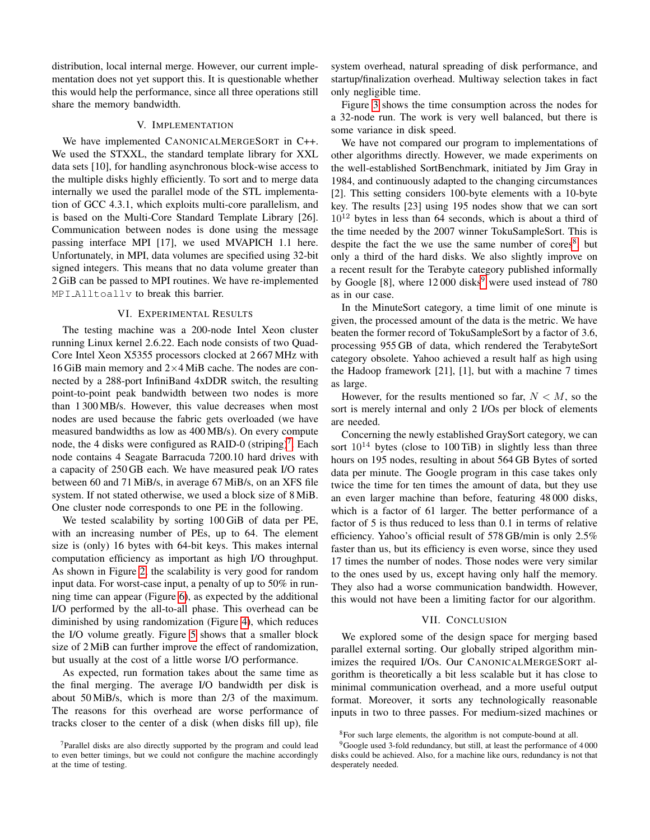distribution, local internal merge. However, our current implementation does not yet support this. It is questionable whether this would help the performance, since all three operations still share the memory bandwidth.

## V. IMPLEMENTATION

<span id="page-4-1"></span>We have implemented CANONICALMERGESORT in C++. We used the STXXL, the standard template library for XXL data sets [10], for handling asynchronous block-wise access to the multiple disks highly efficiently. To sort and to merge data internally we used the parallel mode of the STL implementation of GCC 4.3.1, which exploits multi-core parallelism, and is based on the Multi-Core Standard Template Library [26]. Communication between nodes is done using the message passing interface MPI [17], we used MVAPICH 1.1 here. Unfortunately, in MPI, data volumes are specified using 32-bit signed integers. This means that no data volume greater than 2 GiB can be passed to MPI routines. We have re-implemented MPI Alltoallv to break this barrier.

## VI. EXPERIMENTAL RESULTS

<span id="page-4-0"></span>The testing machine was a 200-node Intel Xeon cluster running Linux kernel 2.6.22. Each node consists of two Quad-Core Intel Xeon X5355 processors clocked at 2 667 MHz with 16 GiB main memory and 2×4 MiB cache. The nodes are connected by a 288-port InfiniBand 4xDDR switch, the resulting point-to-point peak bandwidth between two nodes is more than 1 300 MB/s. However, this value decreases when most nodes are used because the fabric gets overloaded (we have measured bandwidths as low as 400 MB/s). On every compute node, the 4 disks were configured as RAID-0 (striping)<sup>[7](#page-4-3)</sup>. Each node contains 4 Seagate Barracuda 7200.10 hard drives with a capacity of 250 GB each. We have measured peak I/O rates between 60 and 71 MiB/s, in average 67 MiB/s, on an XFS file system. If not stated otherwise, we used a block size of 8 MiB. One cluster node corresponds to one PE in the following.

We tested scalability by sorting 100 GiB of data per PE, with an increasing number of PEs, up to 64. The element size is (only) 16 bytes with 64-bit keys. This makes internal computation efficiency as important as high I/O throughput. As shown in Figure [2,](#page-5-0) the scalability is very good for random input data. For worst-case input, a penalty of up to 50% in running time can appear (Figure [6\)](#page-5-1), as expected by the additional I/O performed by the all-to-all phase. This overhead can be diminished by using randomization (Figure [4\)](#page-5-2), which reduces the I/O volume greatly. Figure [5](#page-5-3) shows that a smaller block size of 2 MiB can further improve the effect of randomization, but usually at the cost of a little worse I/O performance.

As expected, run formation takes about the same time as the final merging. The average I/O bandwidth per disk is about 50 MiB/s, which is more than 2/3 of the maximum. The reasons for this overhead are worse performance of tracks closer to the center of a disk (when disks fill up), file system overhead, natural spreading of disk performance, and startup/finalization overhead. Multiway selection takes in fact only negligible time.

Figure [3](#page-5-4) shows the time consumption across the nodes for a 32-node run. The work is very well balanced, but there is some variance in disk speed.

We have not compared our program to implementations of other algorithms directly. However, we made experiments on the well-established SortBenchmark, initiated by Jim Gray in 1984, and continuously adapted to the changing circumstances [2]. This setting considers 100-byte elements with a 10-byte key. The results [23] using 195 nodes show that we can sort  $10^{12}$  bytes in less than 64 seconds, which is about a third of the time needed by the 2007 winner TokuSampleSort. This is despite the fact the we use the same number of cores $\delta$ , but only a third of the hard disks. We also slightly improve on a recent result for the Terabyte category published informally by Google [8], where  $12000$  disks<sup>[9](#page-4-5)</sup> were used instead of 780 as in our case.

In the MinuteSort category, a time limit of one minute is given, the processed amount of the data is the metric. We have beaten the former record of TokuSampleSort by a factor of 3.6, processing 955 GB of data, which rendered the TerabyteSort category obsolete. Yahoo achieved a result half as high using the Hadoop framework [21], [1], but with a machine 7 times as large.

However, for the results mentioned so far,  $N < M$ , so the sort is merely internal and only 2 I/Os per block of elements are needed.

Concerning the newly established GraySort category, we can sort  $10^{14}$  bytes (close to 100 TiB) in slightly less than three hours on 195 nodes, resulting in about 564 GB Bytes of sorted data per minute. The Google program in this case takes only twice the time for ten times the amount of data, but they use an even larger machine than before, featuring 48 000 disks, which is a factor of 61 larger. The better performance of a factor of 5 is thus reduced to less than 0.1 in terms of relative efficiency. Yahoo's official result of 578 GB/min is only 2.5% faster than us, but its efficiency is even worse, since they used 17 times the number of nodes. Those nodes were very similar to the ones used by us, except having only half the memory. They also had a worse communication bandwidth. However, this would not have been a limiting factor for our algorithm.

## VII. CONCLUSION

<span id="page-4-2"></span>We explored some of the design space for merging based parallel external sorting. Our globally striped algorithm minimizes the required I/Os. Our CANONICALMERGESORT algorithm is theoretically a bit less scalable but it has close to minimal communication overhead, and a more useful output format. Moreover, it sorts any technologically reasonable inputs in two to three passes. For medium-sized machines or

<span id="page-4-3"></span><sup>&</sup>lt;sup>7</sup>Parallel disks are also directly supported by the program and could lead to even better timings, but we could not configure the machine accordingly at the time of testing.

<span id="page-4-5"></span><span id="page-4-4"></span><sup>8</sup>For such large elements, the algorithm is not compute-bound at all.

<sup>&</sup>lt;sup>9</sup>Google used 3-fold redundancy, but still, at least the performance of 4000 disks could be achieved. Also, for a machine like ours, redundancy is not that desperately needed.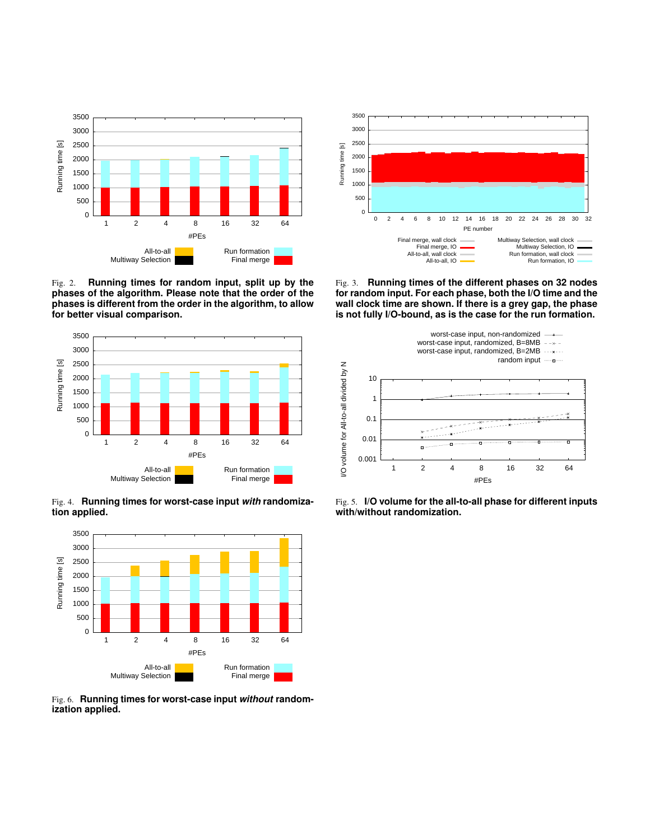

<span id="page-5-0"></span>Fig. 2. **Running times for random input, split up by the phases of the algorithm. Please note that the order of the phases is different from the order in the algorithm, to allow for better visual comparison.**



<span id="page-5-2"></span>Fig. 4. **Running times for worst-case input** *with* **randomization applied.**



<span id="page-5-1"></span>Fig. 6. **Running times for worst-case input** *without* **randomization applied.**



<span id="page-5-4"></span>Fig. 3. **Running times of the different phases on 32 nodes for random input. For each phase, both the I/O time and the wall clock time are shown. If there is a grey gap, the phase is not fully I/O-bound, as is the case for the run formation.**



<span id="page-5-3"></span>Fig. 5. **I/O volume for the all-to-all phase for different inputs with/without randomization.**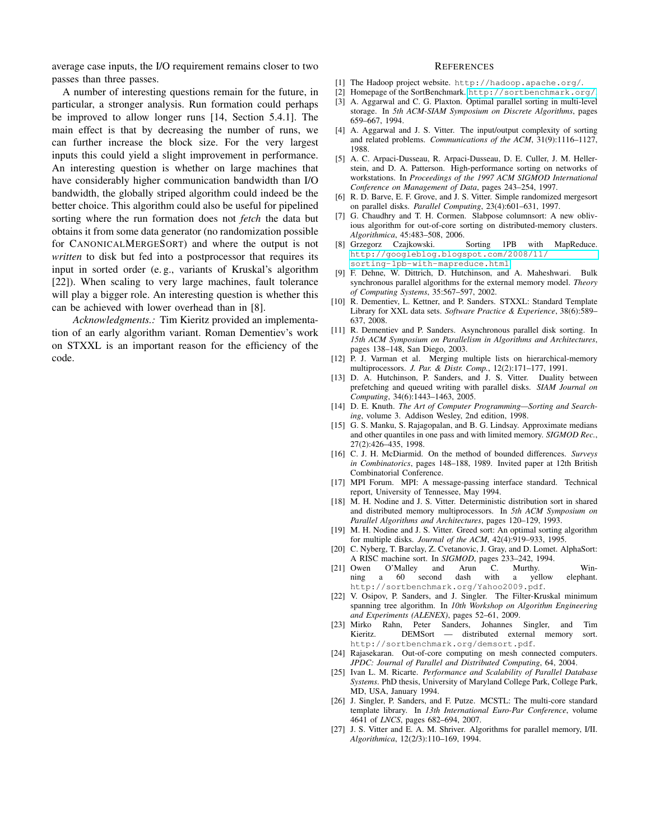average case inputs, the I/O requirement remains closer to two passes than three passes.

A number of interesting questions remain for the future, in particular, a stronger analysis. Run formation could perhaps be improved to allow longer runs [14, Section 5.4.1]. The main effect is that by decreasing the number of runs, we can further increase the block size. For the very largest inputs this could yield a slight improvement in performance. An interesting question is whether on large machines that have considerably higher communication bandwidth than I/O bandwidth, the globally striped algorithm could indeed be the better choice. This algorithm could also be useful for pipelined sorting where the run formation does not *fetch* the data but obtains it from some data generator (no randomization possible for CANONICALMERGESORT) and where the output is not *written* to disk but fed into a postprocessor that requires its input in sorted order (e. g., variants of Kruskal's algorithm [22]). When scaling to very large machines, fault tolerance will play a bigger role. An interesting question is whether this can be achieved with lower overhead than in [8].

*Acknowledgments.:* Tim Kieritz provided an implementation of an early algorithm variant. Roman Dementiev's work on STXXL is an important reason for the efficiency of the code.

## **REFERENCES**

- [1] The Hadoop project website. http://hadoop.apache.org/.
- [2] Homepage of the SortBenchmark. <http://sortbenchmark.org/>.
- [3] A. Aggarwal and C. G. Plaxton. Optimal parallel sorting in multi-level storage. In *5th ACM-SIAM Symposium on Discrete Algorithms*, pages 659–667, 1994.
- [4] A. Aggarwal and J. S. Vitter. The input/output complexity of sorting and related problems. *Communications of the ACM*, 31(9):1116–1127, 1988.
- [5] A. C. Arpaci-Dusseau, R. Arpaci-Dusseau, D. E. Culler, J. M. Hellerstein, and D. A. Patterson. High-performance sorting on networks of workstations. In *Proceedings of the 1997 ACM SIGMOD International Conference on Management of Data*, pages 243–254, 1997.
- [6] R. D. Barve, E. F. Grove, and J. S. Vitter. Simple randomized mergesort on parallel disks. *Parallel Computing*, 23(4):601–631, 1997.
- [7] G. Chaudhry and T. H. Cormen. Slabpose columnsort: A new oblivious algorithm for out-of-core sorting on distributed-memory clusters. *Algorithmica*, 45:483–508, 2006.
- [8] Grzegorz Czajkowski. Sorting 1PB with MapReduce. [http://googleblog.blogspot.com/2008/11/](http://googleblog.blogspot.com/2008/11/sorting-1pb-with-mapreduce.html) [sorting-1pb-with-mapreduce.html](http://googleblog.blogspot.com/2008/11/sorting-1pb-with-mapreduce.html).
- [9] F. Dehne, W. Dittrich, D. Hutchinson, and A. Maheshwari. Bulk synchronous parallel algorithms for the external memory model. *Theory of Computing Systems*, 35:567–597, 2002.
- [10] R. Dementiev, L. Kettner, and P. Sanders. STXXL: Standard Template Library for XXL data sets. *Software Practice & Experience*, 38(6):589– 637, 2008.
- [11] R. Dementiev and P. Sanders. Asynchronous parallel disk sorting. In *15th ACM Symposium on Parallelism in Algorithms and Architectures*, pages 138–148, San Diego, 2003.
- [12] P. J. Varman et al. Merging multiple lists on hierarchical-memory multiprocessors. *J. Par. & Distr. Comp.*, 12(2):171–177, 1991.
- [13] D. A. Hutchinson, P. Sanders, and J. S. Vitter. Duality between prefetching and queued writing with parallel disks. *SIAM Journal on Computing*, 34(6):1443–1463, 2005.
- [14] D. E. Knuth. *The Art of Computer Programming—Sorting and Searching*, volume 3. Addison Wesley, 2nd edition, 1998.
- [15] G. S. Manku, S. Rajagopalan, and B. G. Lindsay. Approximate medians and other quantiles in one pass and with limited memory. *SIGMOD Rec.*, 27(2):426–435, 1998.
- [16] C. J. H. McDiarmid. On the method of bounded differences. *Surveys in Combinatorics*, pages 148–188, 1989. Invited paper at 12th British Combinatorial Conference.
- [17] MPI Forum. MPI: A message-passing interface standard. Technical report, University of Tennessee, May 1994.
- [18] M. H. Nodine and J. S. Vitter. Deterministic distribution sort in shared and distributed memory multiprocessors. In *5th ACM Symposium on Parallel Algorithms and Architectures*, pages 120–129, 1993.
- [19] M. H. Nodine and J. S. Vitter. Greed sort: An optimal sorting algorithm for multiple disks. *Journal of the ACM*, 42(4):919–933, 1995.
- [20] C. Nyberg, T. Barclay, Z. Cvetanovic, J. Gray, and D. Lomet. AlphaSort: A RISC machine sort. In *SIGMOD*, pages 233–242, 1994.
- [21] Owen O'Malley and Arun C. Murthy. Winning a 60 second dash with a yellow elephant. http://sortbenchmark.org/Yahoo2009.pdf.
- [22] V. Osipov, P. Sanders, and J. Singler. The Filter-Kruskal minimum spanning tree algorithm. In *10th Workshop on Algorithm Engineering and Experiments (ALENEX)*, pages 52–61, 2009.
- [23] Mirko Rahn, Peter Sanders, Johannes Singler, and Tim Kieritz. DEMSort — distributed external memory sort. http://sortbenchmark.org/demsort.pdf.
- [24] Rajasekaran. Out-of-core computing on mesh connected computers. *JPDC: Journal of Parallel and Distributed Computing*, 64, 2004.
- [25] Ivan L. M. Ricarte. *Performance and Scalability of Parallel Database Systems*. PhD thesis, University of Maryland College Park, College Park, MD, USA, January 1994.
- [26] J. Singler, P. Sanders, and F. Putze. MCSTL: The multi-core standard template library. In *13th International Euro-Par Conference*, volume 4641 of *LNCS*, pages 682–694, 2007.
- [27] J. S. Vitter and E. A. M. Shriver. Algorithms for parallel memory, I/II. *Algorithmica*, 12(2/3):110–169, 1994.